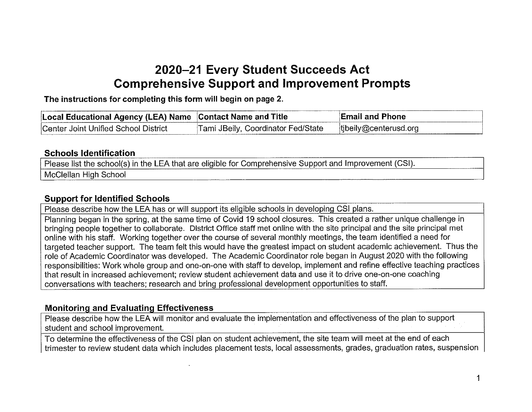## 2020—21 Every Student Succeeds Act Comprehensive Support and Improvement Prompts

The instructions for completing this form will begin on page 2.

| Local Educational Agency (LEA) Name Contact Name and Title |                                    | <b>Email and Phone</b>    |
|------------------------------------------------------------|------------------------------------|---------------------------|
| Center Joint Unified School District                       | Tami JBeily, Coordinator Fed/State | $[$ tibeily@centerusd.org |

## Schools Identification

Please list the school(s) in the LEA that are eligible for Comprehensive Support and Improvement (CSI). McClellan High School

## Support for Identified Schools

Please describe how the LEA has or will support its eligible schools in developing CSI plans.

Planning began in the spring, at the same time of Covid 19 school closures. This created <sup>a</sup> rather unique challenge in bringing people together to collaborate. District Office staff met online with the site principal and the site principal met online with his staff. Working together over the course of several monthly meetings, the team identified <sup>a</sup> need for targeted teacher support. The team felt this would have the greatest impact on student academic achievement. Thus the role of Academic Coordinator was developed. The Academic Coordinator role began in August 2020 with the following responsibilities: Work whole group and one-on-one with staff to develop, implement and refine effective teaching practices that result in increased achievement; review student achievement data and use it to drive one-on-one coaching conversations with teachers; research and bring professional development opportunities to staff.

## Monitoring and Evaluating Effectiveness

Please describe how the LEA will monitor and evaluate the implementation and effectiveness of the plan to support student and school improvement.

To determine the effectiveness of the CSI plan on student achievement, the site team will meet at the end of each trimester to review student data which includes placement tests, local assessments, grades, graduation rates, suspension